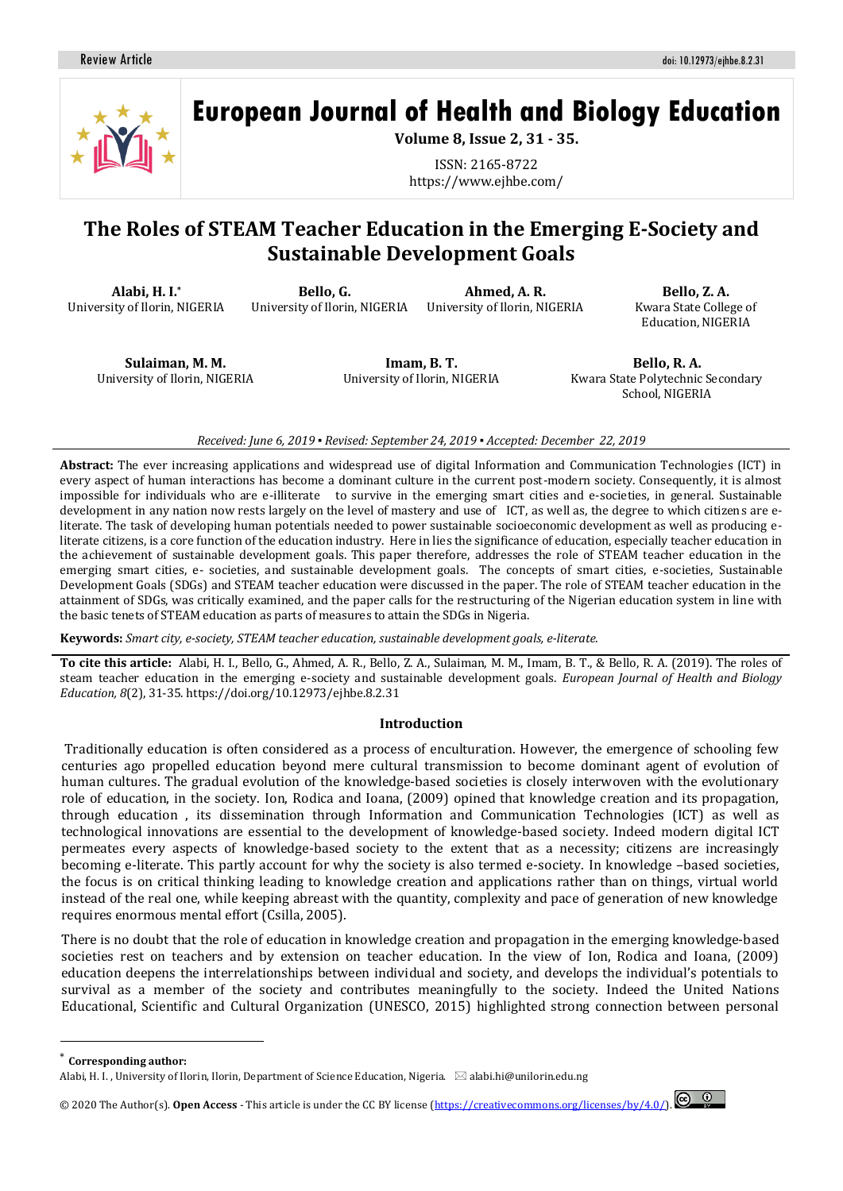

**European Journal of Health and Biology Education**

**Volume 8, Issue 2, 31 - 35.**

ISSN: 2165-8722 https://www.ejhbe.com/

# **The Roles of STEAM Teacher Education in the Emerging E-Society and Sustainable Development Goals**

**Alabi, H. I.\*** University of Ilorin, NIGERIA

**Bello, G.** University of Ilorin, NIGERIA

**Ahmed, A. R.** University of Ilorin, NIGERIA

**Bello, Z. A.** Kwara State College of Education, NIGERIA

**Sulaiman, M. M.** University of Ilorin, NIGERIA

**Imam, B. T.** University of Ilorin, NIGERIA

**Bello, R. A.** Kwara State Polytechnic Secondary School, NIGERIA

#### *Received: June 6, 2019 ▪ Revised: September 24, 2019 ▪ Accepted: December 22, 2019*

**Abstract:** The ever increasing applications and widespread use of digital Information and Communication Technologies (ICT) in every aspect of human interactions has become a dominant culture in the current post-modern society. Consequently, it is almost impossible for individuals who are e-illiterate to survive in the emerging smart cities and e-societies, in general. Sustainable development in any nation now rests largely on the level of mastery and use of ICT, as well as, the degree to which citizens are eliterate. The task of developing human potentials needed to power sustainable socioeconomic development as well as producing eliterate citizens, is a core function of the education industry. Here in lies the significance of education, especially teacher education in the achievement of sustainable development goals. This paper therefore, addresses the role of STEAM teacher education in the emerging smart cities, e- societies, and sustainable development goals. The concepts of smart cities, e-societies, Sustainable Development Goals (SDGs) and STEAM teacher education were discussed in the paper. The role of STEAM teacher education in the attainment of SDGs, was critically examined, and the paper calls for the restructuring of the Nigerian education system in line with the basic tenets of STEAM education as parts of measures to attain the SDGs in Nigeria.

**Keywords:** *Smart city, e-society, STEAM teacher education, sustainable development goals, e-literate.*

**To cite this article:** Alabi, H. I., Bello, G., Ahmed, A. R., Bello, Z. A., Sulaiman, M. M., Imam, B. T., & Bello, R. A. (2019). The roles of steam teacher education in the emerging e-society and sustainable development goals. *European Journal of Health and Biology Education, 8*(2), 31-35. https://doi.org/10.12973/ejhbe.8.2.31

#### **Introduction**

Traditionally education is often considered as a process of enculturation. However, the emergence of schooling few centuries ago propelled education beyond mere cultural transmission to become dominant agent of evolution of human cultures. The gradual evolution of the knowledge-based societies is closely interwoven with the evolutionary role of education, in the society. Ion, Rodica and Ioana, (2009) opined that knowledge creation and its propagation, through education , its dissemination through Information and Communication Technologies (ICT) as well as technological innovations are essential to the development of knowledge-based society. Indeed modern digital ICT permeates every aspects of knowledge-based society to the extent that as a necessity; citizens are increasingly becoming e-literate. This partly account for why the society is also termed e-society. In knowledge –based societies, the focus is on critical thinking leading to knowledge creation and applications rather than on things, virtual world instead of the real one, while keeping abreast with the quantity, complexity and pace of generation of new knowledge requires enormous mental effort (Csilla, 2005).

There is no doubt that the role of education in knowledge creation and propagation in the emerging knowledge-based societies rest on teachers and by extension on teacher education. In the view of Ion, Rodica and Ioana, (2009) education deepens the interrelationships between individual and society, and develops the individual's potentials to survival as a member of the society and contributes meaningfully to the society. Indeed the United Nations Educational, Scientific and Cultural Organization (UNESCO, 2015) highlighted strong connection between personal

**Corresponding author:** 

 $\overline{a}$ 

© 2020 The Author(s). **Open Access** - This article is under the CC BY license [\(https://creativecommons.org/licenses/by/4.0/\)](https://creativecommons.org/licenses/by/4.0/).



Alabi, H. I., University of Ilorin, Ilorin, Department of Science Education, Nigeria.  $~\boxtimes$  alabi.hi@unilorin.edu.ng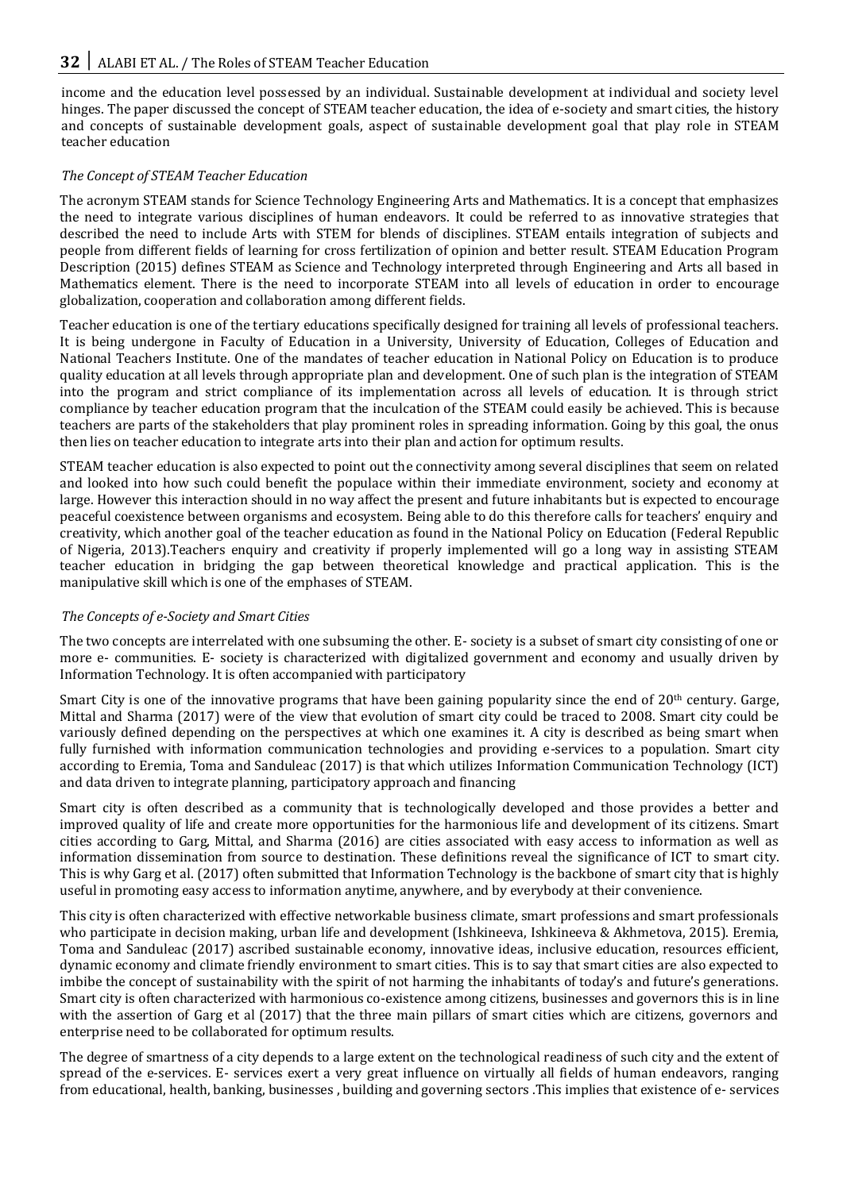income and the education level possessed by an individual. Sustainable development at individual and society level hinges. The paper discussed the concept of STEAM teacher education, the idea of e-society and smart cities, the history and concepts of sustainable development goals, aspect of sustainable development goal that play role in STEAM teacher education

### *The Concept of STEAM Teacher Education*

The acronym STEAM stands for Science Technology Engineering Arts and Mathematics. It is a concept that emphasizes the need to integrate various disciplines of human endeavors. It could be referred to as innovative strategies that described the need to include Arts with STEM for blends of disciplines. STEAM entails integration of subjects and people from different fields of learning for cross fertilization of opinion and better result. STEAM Education Program Description (2015) defines STEAM as Science and Technology interpreted through Engineering and Arts all based in Mathematics element. There is the need to incorporate STEAM into all levels of education in order to encourage globalization, cooperation and collaboration among different fields.

Teacher education is one of the tertiary educations specifically designed for training all levels of professional teachers. It is being undergone in Faculty of Education in a University, University of Education, Colleges of Education and National Teachers Institute. One of the mandates of teacher education in National Policy on Education is to produce quality education at all levels through appropriate plan and development. One of such plan is the integration of STEAM into the program and strict compliance of its implementation across all levels of education. It is through strict compliance by teacher education program that the inculcation of the STEAM could easily be achieved. This is because teachers are parts of the stakeholders that play prominent roles in spreading information. Going by this goal, the onus then lies on teacher education to integrate arts into their plan and action for optimum results.

STEAM teacher education is also expected to point out the connectivity among several disciplines that seem on related and looked into how such could benefit the populace within their immediate environment, society and economy at large. However this interaction should in no way affect the present and future inhabitants but is expected to encourage peaceful coexistence between organisms and ecosystem. Being able to do this therefore calls for teachers' enquiry and creativity, which another goal of the teacher education as found in the National Policy on Education (Federal Republic of Nigeria, 2013).Teachers enquiry and creativity if properly implemented will go a long way in assisting STEAM teacher education in bridging the gap between theoretical knowledge and practical application. This is the manipulative skill which is one of the emphases of STEAM.

### *The Concepts of e-Society and Smart Cities*

The two concepts are interrelated with one subsuming the other. E- society is a subset of smart city consisting of one or more e- communities. E- society is characterized with digitalized government and economy and usually driven by Information Technology. It is often accompanied with participatory

Smart City is one of the innovative programs that have been gaining popularity since the end of  $20<sup>th</sup>$  century. Garge, Mittal and Sharma (2017) were of the view that evolution of smart city could be traced to 2008. Smart city could be variously defined depending on the perspectives at which one examines it. A city is described as being smart when fully furnished with information communication technologies and providing e-services to a population. Smart city according to Eremia, Toma and Sanduleac (2017) is that which utilizes Information Communication Technology (ICT) and data driven to integrate planning, participatory approach and financing

Smart city is often described as a community that is technologically developed and those provides a better and improved quality of life and create more opportunities for the harmonious life and development of its citizens. Smart cities according to Garg, Mittal, and Sharma (2016) are cities associated with easy access to information as well as information dissemination from source to destination. These definitions reveal the significance of ICT to smart city. This is why Garg et al. (2017) often submitted that Information Technology is the backbone of smart city that is highly useful in promoting easy access to information anytime, anywhere, and by everybody at their convenience.

This city is often characterized with effective networkable business climate, smart professions and smart professionals who participate in decision making, urban life and development (Ishkineeva, Ishkineeva & Akhmetova, 2015). Eremia, Toma and Sanduleac (2017) ascribed sustainable economy, innovative ideas, inclusive education, resources efficient, dynamic economy and climate friendly environment to smart cities. This is to say that smart cities are also expected to imbibe the concept of sustainability with the spirit of not harming the inhabitants of today's and future's generations. Smart city is often characterized with harmonious co-existence among citizens, businesses and governors this is in line with the assertion of Garg et al (2017) that the three main pillars of smart cities which are citizens, governors and enterprise need to be collaborated for optimum results.

The degree of smartness of a city depends to a large extent on the technological readiness of such city and the extent of spread of the e-services. E- services exert a very great influence on virtually all fields of human endeavors, ranging from educational, health, banking, businesses , building and governing sectors .This implies that existence of e- services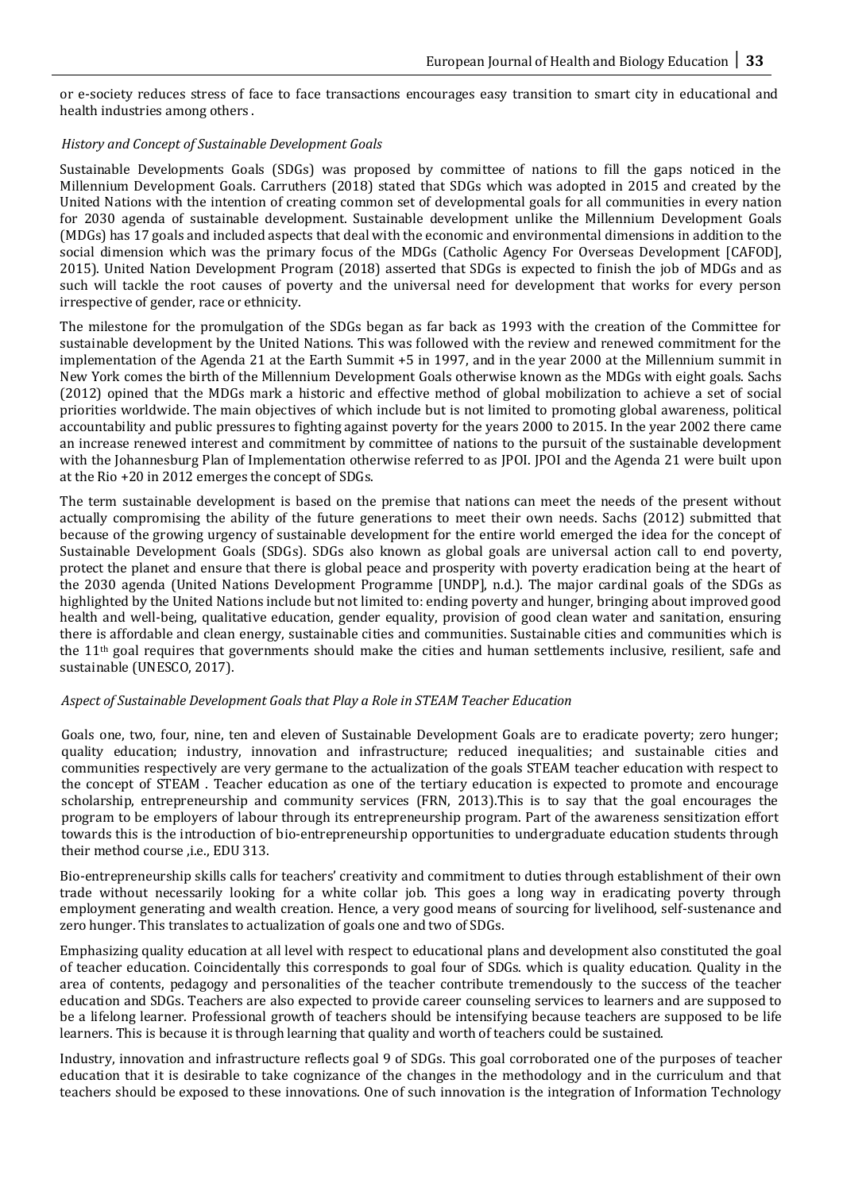or e-society reduces stress of face to face transactions encourages easy transition to smart city in educational and health industries among others .

#### *History and Concept of Sustainable Development Goals*

Sustainable Developments Goals (SDGs) was proposed by committee of nations to fill the gaps noticed in the Millennium Development Goals. Carruthers (2018) stated that SDGs which was adopted in 2015 and created by the United Nations with the intention of creating common set of developmental goals for all communities in every nation for 2030 agenda of sustainable development. Sustainable development unlike the Millennium Development Goals (MDGs) has 17 goals and included aspects that deal with the economic and environmental dimensions in addition to the social dimension which was the primary focus of the MDGs (Catholic Agency For Overseas Development [CAFOD], 2015). United Nation Development Program (2018) asserted that SDGs is expected to finish the job of MDGs and as such will tackle the root causes of poverty and the universal need for development that works for every person irrespective of gender, race or ethnicity.

The milestone for the promulgation of the SDGs began as far back as 1993 with the creation of the Committee for sustainable development by the United Nations. This was followed with the review and renewed commitment for the implementation of the Agenda 21 at the Earth Summit +5 in 1997, and in the year 2000 at the Millennium summit in New York comes the birth of the Millennium Development Goals otherwise known as the MDGs with eight goals. Sachs (2012) opined that the MDGs mark a historic and effective method of global mobilization to achieve a set of social priorities worldwide. The main objectives of which include but is not limited to promoting global awareness, political accountability and public pressures to fighting against poverty for the years 2000 to 2015. In the year 2002 there came an increase renewed interest and commitment by committee of nations to the pursuit of the sustainable development with the Johannesburg Plan of Implementation otherwise referred to as JPOI. JPOI and the Agenda 21 were built upon at the Rio +20 in 2012 emerges the concept of SDGs.

The term sustainable development is based on the premise that nations can meet the needs of the present without actually compromising the ability of the future generations to meet their own needs. Sachs (2012) submitted that because of the growing urgency of sustainable development for the entire world emerged the idea for the concept of Sustainable Development Goals (SDGs). SDGs also known as global goals are universal action call to end poverty, protect the planet and ensure that there is global peace and prosperity with poverty eradication being at the heart of the 2030 agenda (United Nations Development Programme [UNDP], n.d.). The major cardinal goals of the SDGs as highlighted by the United Nations include but not limited to: ending poverty and hunger, bringing about improved good health and well-being, qualitative education, gender equality, provision of good clean water and sanitation, ensuring there is affordable and clean energy, sustainable cities and communities. Sustainable cities and communities which is the 11th goal requires that governments should make the cities and human settlements inclusive, resilient, safe and sustainable (UNESCO, 2017).

#### *Aspect of Sustainable Development Goals that Play a Role in STEAM Teacher Education*

Goals one, two, four, nine, ten and eleven of Sustainable Development Goals are to eradicate poverty; zero hunger; quality education; industry, innovation and infrastructure; reduced inequalities; and sustainable cities and communities respectively are very germane to the actualization of the goals STEAM teacher education with respect to the concept of STEAM . Teacher education as one of the tertiary education is expected to promote and encourage scholarship, entrepreneurship and community services (FRN, 2013).This is to say that the goal encourages the program to be employers of labour through its entrepreneurship program. Part of the awareness sensitization effort towards this is the introduction of bio-entrepreneurship opportunities to undergraduate education students through their method course ,i.e., EDU 313.

Bio-entrepreneurship skills calls for teachers' creativity and commitment to duties through establishment of their own trade without necessarily looking for a white collar job. This goes a long way in eradicating poverty through employment generating and wealth creation. Hence, a very good means of sourcing for livelihood, self-sustenance and zero hunger. This translates to actualization of goals one and two of SDGs.

Emphasizing quality education at all level with respect to educational plans and development also constituted the goal of teacher education. Coincidentally this corresponds to goal four of SDGs. which is quality education. Quality in the area of contents, pedagogy and personalities of the teacher contribute tremendously to the success of the teacher education and SDGs. Teachers are also expected to provide career counseling services to learners and are supposed to be a lifelong learner. Professional growth of teachers should be intensifying because teachers are supposed to be life learners. This is because it is through learning that quality and worth of teachers could be sustained.

Industry, innovation and infrastructure reflects goal 9 of SDGs. This goal corroborated one of the purposes of teacher education that it is desirable to take cognizance of the changes in the methodology and in the curriculum and that teachers should be exposed to these innovations. One of such innovation is the integration of Information Technology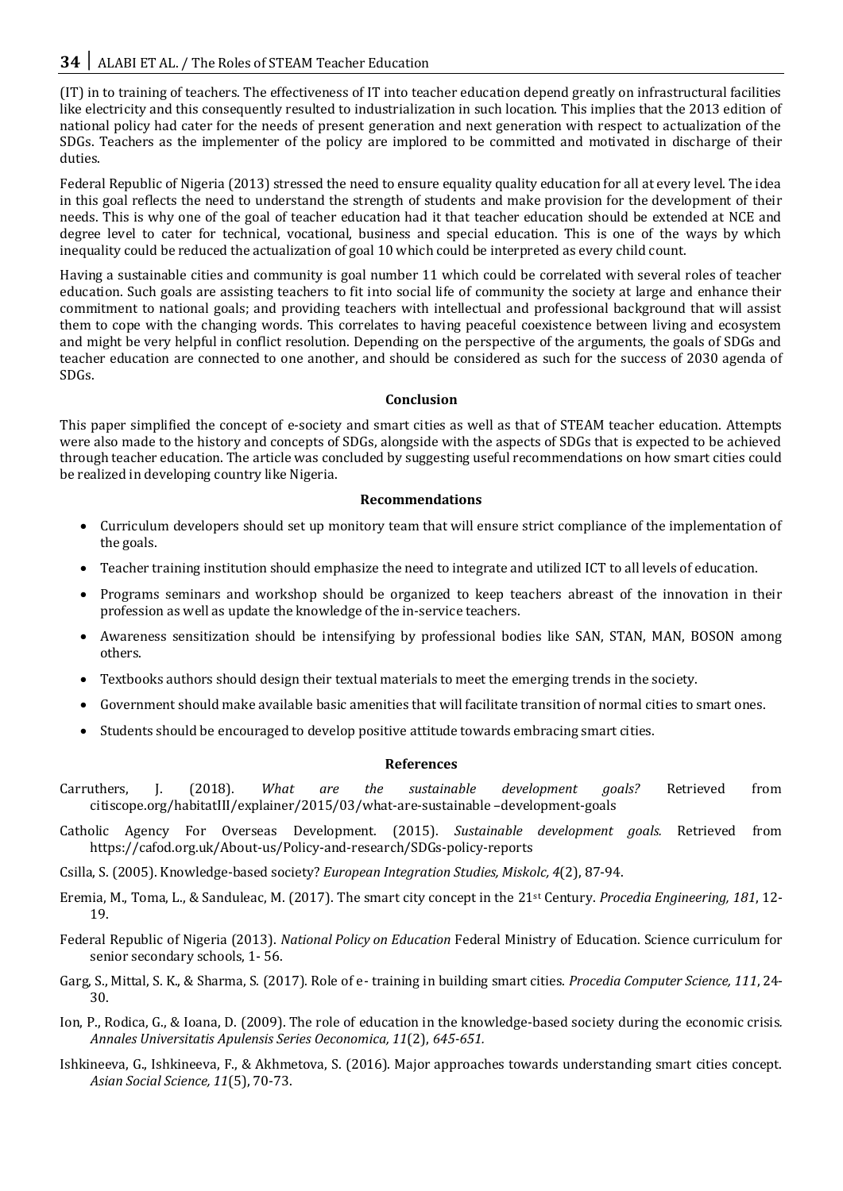(IT) in to training of teachers. The effectiveness of IT into teacher education depend greatly on infrastructural facilities like electricity and this consequently resulted to industrialization in such location. This implies that the 2013 edition of national policy had cater for the needs of present generation and next generation with respect to actualization of the SDGs. Teachers as the implementer of the policy are implored to be committed and motivated in discharge of their duties.

Federal Republic of Nigeria (2013) stressed the need to ensure equality quality education for all at every level. The idea in this goal reflects the need to understand the strength of students and make provision for the development of their needs. This is why one of the goal of teacher education had it that teacher education should be extended at NCE and degree level to cater for technical, vocational, business and special education. This is one of the ways by which inequality could be reduced the actualization of goal 10 which could be interpreted as every child count.

Having a sustainable cities and community is goal number 11 which could be correlated with several roles of teacher education. Such goals are assisting teachers to fit into social life of community the society at large and enhance their commitment to national goals; and providing teachers with intellectual and professional background that will assist them to cope with the changing words. This correlates to having peaceful coexistence between living and ecosystem and might be very helpful in conflict resolution. Depending on the perspective of the arguments, the goals of SDGs and teacher education are connected to one another, and should be considered as such for the success of 2030 agenda of SDGs.

## **Conclusion**

This paper simplified the concept of e-society and smart cities as well as that of STEAM teacher education. Attempts were also made to the history and concepts of SDGs, alongside with the aspects of SDGs that is expected to be achieved through teacher education. The article was concluded by suggesting useful recommendations on how smart cities could be realized in developing country like Nigeria.

#### **Recommendations**

- Curriculum developers should set up monitory team that will ensure strict compliance of the implementation of the goals.
- Teacher training institution should emphasize the need to integrate and utilized ICT to all levels of education.
- Programs seminars and workshop should be organized to keep teachers abreast of the innovation in their profession as well as update the knowledge of the in-service teachers.
- Awareness sensitization should be intensifying by professional bodies like SAN, STAN, MAN, BOSON among others.
- Textbooks authors should design their textual materials to meet the emerging trends in the society.
- Government should make available basic amenities that will facilitate transition of normal cities to smart ones.
- Students should be encouraged to develop positive attitude towards embracing smart cities.

### **References**

- Carruthers, J. (2018). *What are the sustainable development goals?* Retrieved from citiscope.org/habitatIII/explainer/2015/03/what-are-sustainable –development-goals
- Catholic Agency For Overseas Development. (2015). *Sustainable development goals.* Retrieved from https://cafod.org.uk/About-us/Policy-and-research/SDGs-policy-reports

Csilla, S. (2005). Knowledge-based society? *European Integration Studies, Miskolc, 4*(2), 87-94.

- Eremia, M., Toma, L., & Sanduleac, M. (2017). The smart city concept in the 21st Century. *Procedia Engineering, 181*, 12- 19.
- Federal Republic of Nigeria (2013). *National Policy on Education* Federal Ministry of Education. Science curriculum for senior secondary schools, 1- 56.
- Garg, S., Mittal, S. K., & Sharma, S. (2017). Role of e- training in building smart cities. *Procedia Computer Science, 111*, 24- 30.
- Ion, P., Rodica, G., & Ioana, D. (2009). The role of education in the knowledge-based society during the economic crisis*. Annales Universitatis Apulensis Series Oeconomica, 11*(2), *645-651.*
- Ishkineeva, G., Ishkineeva, F., & Akhmetova, S. (2016). Major approaches towards understanding smart cities concept. *Asian Social Science, 11*(5), 70-73.